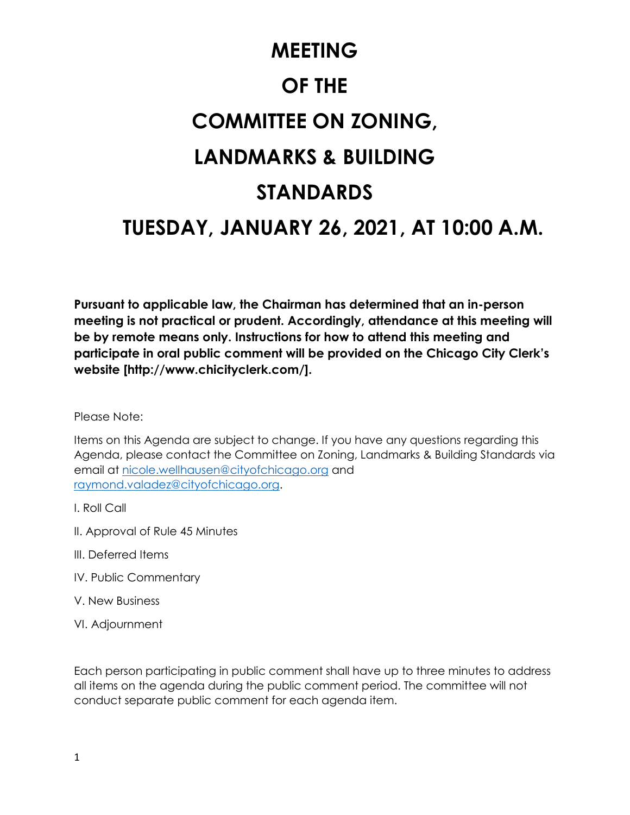# **MEETING OF THE COMMITTEE ON ZONING, LANDMARKS & BUILDING STANDARDS TUESDAY, JANUARY 26, 2021, AT 10:00 A.M.**

**Pursuant to applicable law, the Chairman has determined that an in-person meeting is not practical or prudent. Accordingly, attendance at this meeting will be by remote means only. Instructions for how to attend this meeting and participate in oral public comment will be provided on the Chicago City Clerk's website [http://www.chicityclerk.com/].**

Please Note:

Items on this Agenda are subject to change. If you have any questions regarding this Agenda, please contact the Committee on Zoning, Landmarks & Building Standards via email at [nicole.wellhausen@cityofchicago.org](mailto:nicole.wellhausen@cityofchicago.org) and [raymond.valadez@cityofchicago.org.](mailto:raymond.valadez@cityofchicago.org)

- I. Roll Call
- II. Approval of Rule 45 Minutes
- III. Deferred Items
- IV. Public Commentary
- V. New Business
- VI. Adjournment

Each person participating in public comment shall have up to three minutes to address all items on the agenda during the public comment period. The committee will not conduct separate public comment for each agenda item.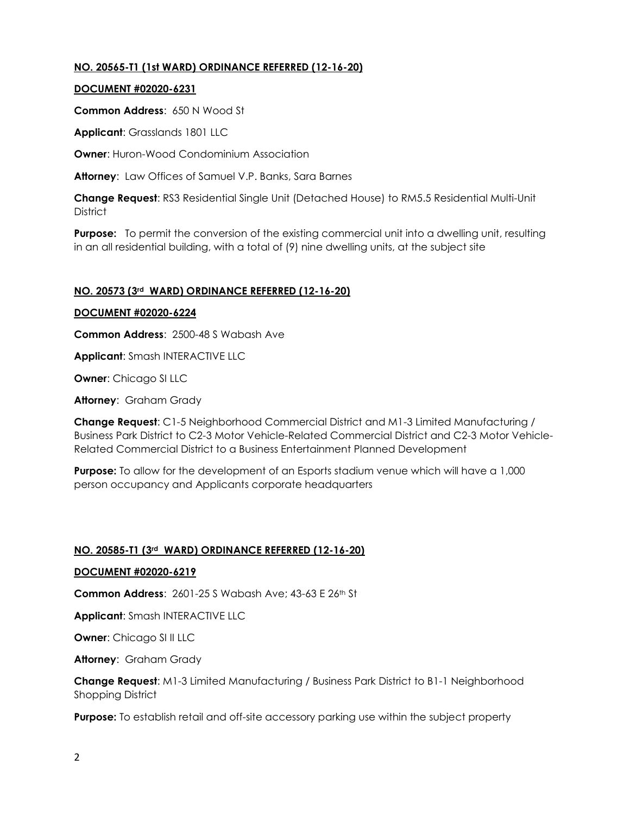# **NO. 20565-T1 (1st WARD) ORDINANCE REFERRED (12-16-20)**

## **DOCUMENT #02020-6231**

**Common Address**: 650 N Wood St

**Applicant**: Grasslands 1801 LLC

**Owner:** Huron-Wood Condominium Association

**Attorney**: Law Offices of Samuel V.P. Banks, Sara Barnes

**Change Request**: RS3 Residential Single Unit (Detached House) to RM5.5 Residential Multi-Unit **District** 

**Purpose:** To permit the conversion of the existing commercial unit into a dwelling unit, resulting in an all residential building, with a total of (9) nine dwelling units, at the subject site

## **NO. 20573 (3rd WARD) ORDINANCE REFERRED (12-16-20)**

#### **DOCUMENT #02020-6224**

**Common Address**: 2500-48 S Wabash Ave

**Applicant**: Smash INTERACTIVE LLC

**Owner**: Chicago SI LLC

**Attorney**: Graham Grady

**Change Request**: C1-5 Neighborhood Commercial District and M1-3 Limited Manufacturing / Business Park District to C2-3 Motor Vehicle-Related Commercial District and C2-3 Motor Vehicle-Related Commercial District to a Business Entertainment Planned Development

**Purpose:** To allow for the development of an Esports stadium venue which will have a 1,000 person occupancy and Applicants corporate headquarters

#### **NO. 20585-T1 (3rd WARD) ORDINANCE REFERRED (12-16-20)**

#### **DOCUMENT #02020-6219**

**Common Address**: 2601-25 S Wabash Ave; 43-63 E 26th St

**Applicant**: Smash INTERACTIVE LLC

**Owner**: Chicago SI II LLC

**Attorney**: Graham Grady

**Change Request**: M1-3 Limited Manufacturing / Business Park District to B1-1 Neighborhood Shopping District

**Purpose:** To establish retail and off-site accessory parking use within the subject property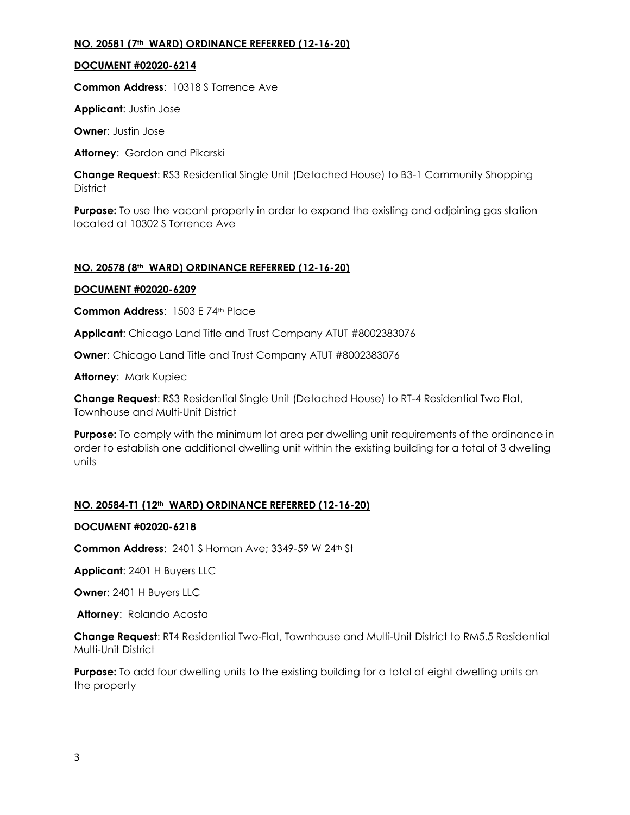## **NO. 20581 (7th WARD) ORDINANCE REFERRED (12-16-20)**

## **DOCUMENT #02020-6214**

**Common Address**: 10318 S Torrence Ave

**Applicant**: Justin Jose

**Owner**: Justin Jose

**Attorney**: Gordon and Pikarski

**Change Request**: RS3 Residential Single Unit (Detached House) to B3-1 Community Shopping **District** 

**Purpose:** To use the vacant property in order to expand the existing and adjoining gas station located at 10302 S Torrence Ave

## **NO. 20578 (8th WARD) ORDINANCE REFERRED (12-16-20)**

## **DOCUMENT #02020-6209**

**Common Address**: 1503 E 74th Place

**Applicant**: Chicago Land Title and Trust Company ATUT #8002383076

**Owner**: Chicago Land Title and Trust Company ATUT #8002383076

**Attorney**: Mark Kupiec

**Change Request**: RS3 Residential Single Unit (Detached House) to RT-4 Residential Two Flat, Townhouse and Multi-Unit District

**Purpose:** To comply with the minimum lot area per dwelling unit requirements of the ordinance in order to establish one additional dwelling unit within the existing building for a total of 3 dwelling units

## **NO. 20584-T1 (12th WARD) ORDINANCE REFERRED (12-16-20)**

## **DOCUMENT #02020-6218**

**Common Address**: 2401 S Homan Ave; 3349-59 W 24th St

**Applicant**: 2401 H Buyers LLC

**Owner**: 2401 H Buyers LLC

**Attorney**: Rolando Acosta

**Change Request**: RT4 Residential Two-Flat, Townhouse and Multi-Unit District to RM5.5 Residential Multi-Unit District

**Purpose:** To add four dwelling units to the existing building for a total of eight dwelling units on the property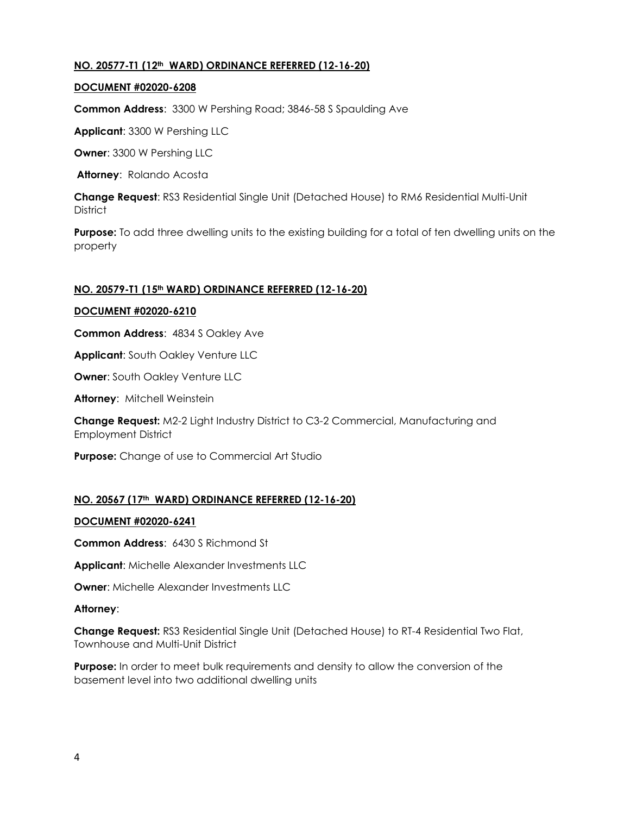## **NO. 20577-T1 (12th WARD) ORDINANCE REFERRED (12-16-20)**

#### **DOCUMENT #02020-6208**

**Common Address**: 3300 W Pershing Road; 3846-58 S Spaulding Ave

**Applicant**: 3300 W Pershing LLC

**Owner**: 3300 W Pershing LLC

**Attorney**: Rolando Acosta

**Change Request**: RS3 Residential Single Unit (Detached House) to RM6 Residential Multi-Unit **District** 

**Purpose:** To add three dwelling units to the existing building for a total of ten dwelling units on the property

#### **NO. 20579-T1 (15th WARD) ORDINANCE REFERRED (12-16-20)**

#### **DOCUMENT #02020-6210**

**Common Address**: 4834 S Oakley Ave

**Applicant**: South Oakley Venture LLC

**Owner: South Oakley Venture LLC** 

**Attorney**: Mitchell Weinstein

**Change Request:** M2-2 Light Industry District to C3-2 Commercial, Manufacturing and Employment District

**Purpose:** Change of use to Commercial Art Studio

## **NO. 20567 (17th WARD) ORDINANCE REFERRED (12-16-20)**

#### **DOCUMENT #02020-6241**

**Common Address**: 6430 S Richmond St

**Applicant**: Michelle Alexander Investments LLC

**Owner**: Michelle Alexander Investments LLC

#### **Attorney**:

**Change Request:** RS3 Residential Single Unit (Detached House) to RT-4 Residential Two Flat, Townhouse and Multi-Unit District

**Purpose:** In order to meet bulk requirements and density to allow the conversion of the basement level into two additional dwelling units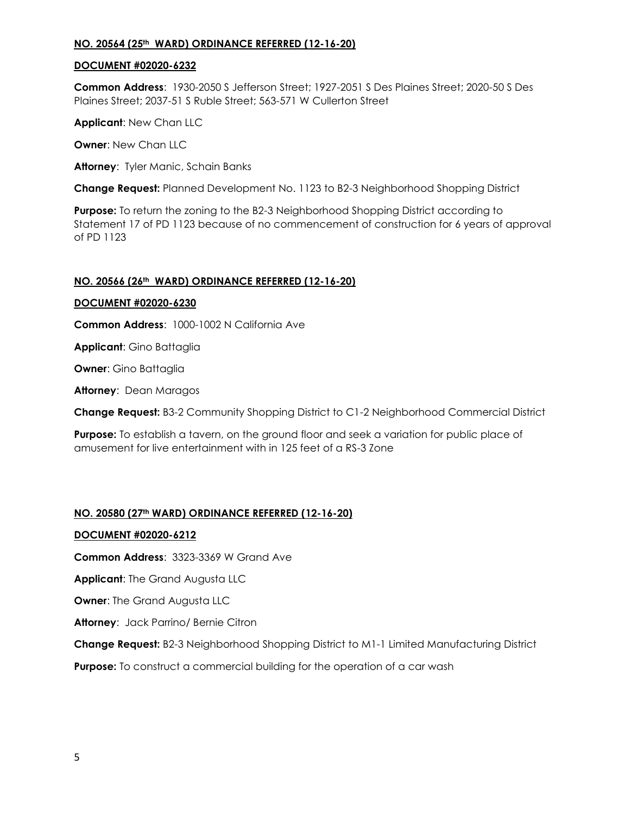## **NO. 20564 (25th WARD) ORDINANCE REFERRED (12-16-20)**

## **DOCUMENT #02020-6232**

**Common Address**: 1930-2050 S Jefferson Street; 1927-2051 S Des Plaines Street; 2020-50 S Des Plaines Street; 2037-51 S Ruble Street; 563-571 W Cullerton Street

**Applicant**: New Chan LLC

**Owner**: New Chan LLC

**Attorney**: Tyler Manic, Schain Banks

**Change Request:** Planned Development No. 1123 to B2-3 Neighborhood Shopping District

**Purpose:** To return the zoning to the B2-3 Neighborhood Shopping District according to Statement 17 of PD 1123 because of no commencement of construction for 6 years of approval of PD 1123

# **NO. 20566 (26th WARD) ORDINANCE REFERRED (12-16-20)**

# **DOCUMENT #02020-6230**

**Common Address**: 1000-1002 N California Ave

**Applicant**: Gino Battaglia

**Owner**: Gino Battaglia

**Attorney**: Dean Maragos

**Change Request:** B3-2 Community Shopping District to C1-2 Neighborhood Commercial District

**Purpose:** To establish a tavern, on the ground floor and seek a variation for public place of amusement for live entertainment with in 125 feet of a RS-3 Zone

# **NO. 20580 (27th WARD) ORDINANCE REFERRED (12-16-20)**

## **DOCUMENT #02020-6212**

**Common Address**: 3323-3369 W Grand Ave

**Applicant**: The Grand Augusta LLC

**Owner: The Grand Augusta LLC** 

**Attorney**: Jack Parrino/ Bernie Citron

**Change Request:** B2-3 Neighborhood Shopping District to M1-1 Limited Manufacturing District

**Purpose:** To construct a commercial building for the operation of a car wash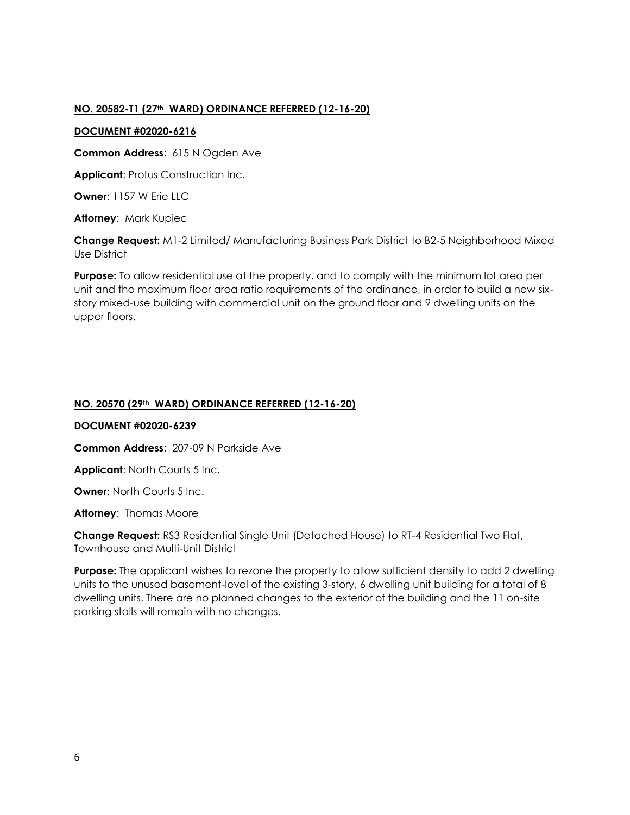## **NO. 20582-T1 (27th WARD) ORDINANCE REFERRED (12-16-20)**

#### **DOCUMENT #02020-6216**

**Common Address**: 615 N Ogden Ave

**Applicant**: Profus Construction Inc.

**Owner**: 1157 W Erie LLC

**Attorney**: Mark Kupiec

**Change Request:** M1-2 Limited/ Manufacturing Business Park District to B2-5 Neighborhood Mixed Use District

**Purpose:** To allow residential use at the property, and to comply with the minimum lot area per unit and the maximum floor area ratio requirements of the ordinance, in order to build a new sixstory mixed-use building with commercial unit on the ground floor and 9 dwelling units on the upper floors.

# **NO. 20570 (29th WARD) ORDINANCE REFERRED (12-16-20)**

#### **DOCUMENT #02020-6239**

**Common Address**: 207-09 N Parkside Ave

**Applicant**: North Courts 5 Inc.

**Owner: North Courts 5 Inc.** 

**Attorney**: Thomas Moore

**Change Request:** RS3 Residential Single Unit (Detached House) to RT-4 Residential Two Flat, Townhouse and Multi-Unit District

**Purpose:** The applicant wishes to rezone the property to allow sufficient density to add 2 dwelling units to the unused basement-level of the existing 3-story, 6 dwelling unit building for a total of 8 dwelling units. There are no planned changes to the exterior of the building and the 11 on-site parking stalls will remain with no changes.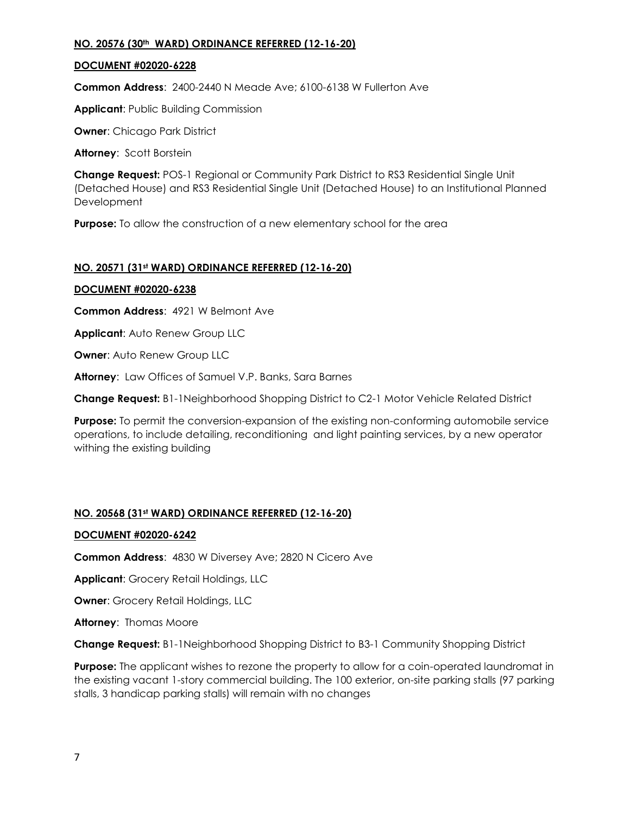## **NO. 20576 (30th WARD) ORDINANCE REFERRED (12-16-20)**

## **DOCUMENT #02020-6228**

**Common Address**: 2400-2440 N Meade Ave; 6100-6138 W Fullerton Ave

**Applicant**: Public Building Commission

**Owner**: Chicago Park District

**Attorney**: Scott Borstein

**Change Request:** POS-1 Regional or Community Park District to RS3 Residential Single Unit (Detached House) and RS3 Residential Single Unit (Detached House) to an Institutional Planned **Development** 

**Purpose:** To allow the construction of a new elementary school for the area

# **NO. 20571 (31st WARD) ORDINANCE REFERRED (12-16-20)**

## **DOCUMENT #02020-6238**

**Common Address**: 4921 W Belmont Ave

**Applicant**: Auto Renew Group LLC

**Owner: Auto Renew Group LLC** 

**Attorney**: Law Offices of Samuel V.P. Banks, Sara Barnes

**Change Request:** B1-1Neighborhood Shopping District to C2-1 Motor Vehicle Related District

**Purpose:** To permit the conversion-expansion of the existing non-conforming automobile service operations, to include detailing, reconditioning and light painting services, by a new operator withing the existing building

# **NO. 20568 (31st WARD) ORDINANCE REFERRED (12-16-20)**

## **DOCUMENT #02020-6242**

**Common Address**: 4830 W Diversey Ave; 2820 N Cicero Ave

**Applicant**: Grocery Retail Holdings, LLC

**Owner**: Grocery Retail Holdings, LLC

**Attorney**: Thomas Moore

**Change Request:** B1-1Neighborhood Shopping District to B3-1 Community Shopping District

**Purpose:** The applicant wishes to rezone the property to allow for a coin-operated laundromat in the existing vacant 1-story commercial building. The 100 exterior, on-site parking stalls (97 parking stalls, 3 handicap parking stalls) will remain with no changes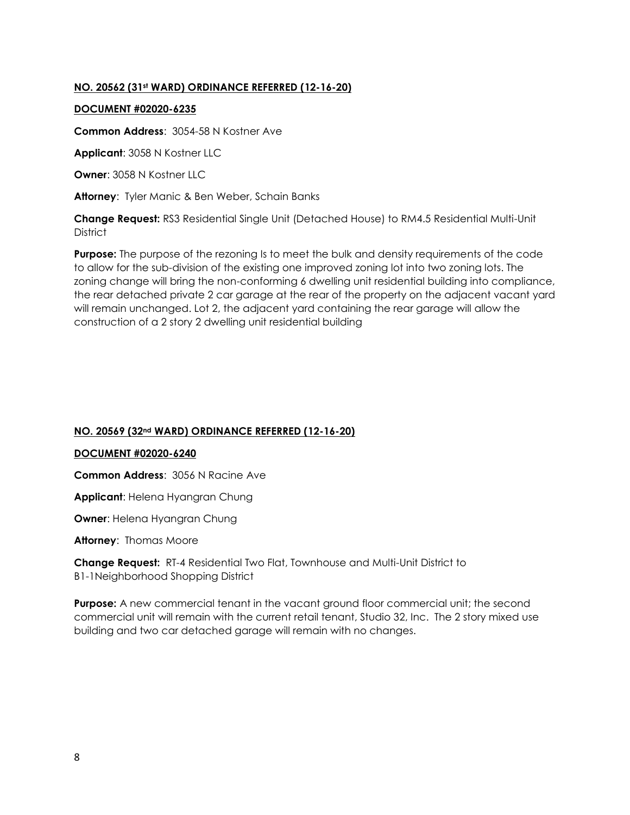# **NO. 20562 (31st WARD) ORDINANCE REFERRED (12-16-20)**

#### **DOCUMENT #02020-6235**

**Common Address**: 3054-58 N Kostner Ave

**Applicant**: 3058 N Kostner LLC

**Owner**: 3058 N Kostner LLC

**Attorney**: Tyler Manic & Ben Weber, Schain Banks

**Change Request:** RS3 Residential Single Unit (Detached House) to RM4.5 Residential Multi-Unit **District** 

**Purpose:** The purpose of the rezoning Is to meet the bulk and density requirements of the code to allow for the sub-division of the existing one improved zoning lot into two zoning lots. The zoning change will bring the non-conforming 6 dwelling unit residential building into compliance, the rear detached private 2 car garage at the rear of the property on the adjacent vacant yard will remain unchanged. Lot 2, the adjacent yard containing the rear garage will allow the construction of a 2 story 2 dwelling unit residential building

## **NO. 20569 (32nd WARD) ORDINANCE REFERRED (12-16-20)**

#### **DOCUMENT #02020-6240**

**Common Address**: 3056 N Racine Ave

**Applicant**: Helena Hyangran Chung

**Owner**: Helena Hyangran Chung

**Attorney**: Thomas Moore

**Change Request:** RT-4 Residential Two Flat, Townhouse and Multi-Unit District to B1-1Neighborhood Shopping District

**Purpose:** A new commercial tenant in the vacant ground floor commercial unit; the second commercial unit will remain with the current retail tenant, Studio 32, Inc. The 2 story mixed use building and two car detached garage will remain with no changes.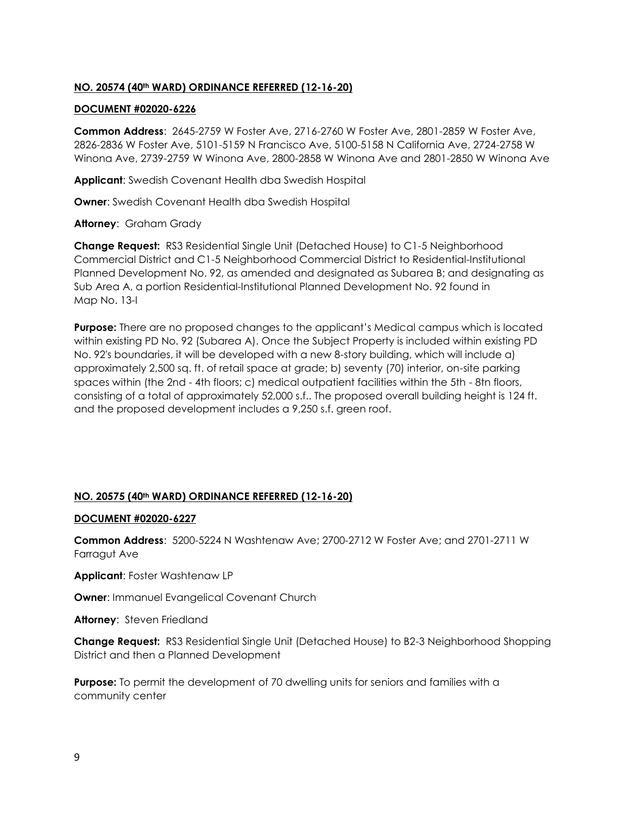# **NO. 20574 (40th WARD) ORDINANCE REFERRED (12-16-20)**

#### **DOCUMENT #02020-6226**

**Common Address**: 2645-2759 W Foster Ave, 2716-2760 W Foster Ave, 2801-2859 W Foster Ave, 2826-2836 W Foster Ave, 5101-5159 N Francisco Ave, 5100-5158 N California Ave, 2724-2758 W Winona Ave, 2739-2759 W Winona Ave, 2800-2858 W Winona Ave and 2801-2850 W Winona Ave

**Applicant**: Swedish Covenant Health dba Swedish Hospital

**Owner**: Swedish Covenant Health dba Swedish Hospital

**Attorney**: Graham Grady

**Change Request:** RS3 Residential Single Unit (Detached House) to C1-5 Neighborhood Commercial District and C1-5 Neighborhood Commercial District to Residential-Institutional Planned Development No. 92, as amended and designated as Subarea B; and designating as Sub Area A, a portion Residential-Institutional Planned Development No. 92 found in Map No. 13-I

**Purpose:** There are no proposed changes to the applicant's Medical campus which is located within existing PD No. 92 (Subarea A). Once the Subject Property is included within existing PD No. 92's boundaries, it will be developed with a new 8-story building, which will include a) approximately 2,500 sq. ft. of retail space at grade; b) seventy (70) interior, on-site parking spaces within (the 2nd - 4th floors; c) medical outpatient facilities within the 5th - 8tn floors, consisting of a total of approximately 52,000 s.f.. The proposed overall building height is 124 ft. and the proposed development includes a 9,250 s.f. green roof.

## **NO. 20575 (40th WARD) ORDINANCE REFERRED (12-16-20)**

#### **DOCUMENT #02020-6227**

**Common Address**: 5200-5224 N Washtenaw Ave; 2700-2712 W Foster Ave; and 2701-2711 W Farragut Ave

**Applicant**: Foster Washtenaw LP

**Owner**: Immanuel Evangelical Covenant Church

**Attorney**: Steven Friedland

**Change Request:** RS3 Residential Single Unit (Detached House) to B2-3 Neighborhood Shopping District and then a Planned Development

**Purpose:** To permit the development of 70 dwelling units for seniors and families with a community center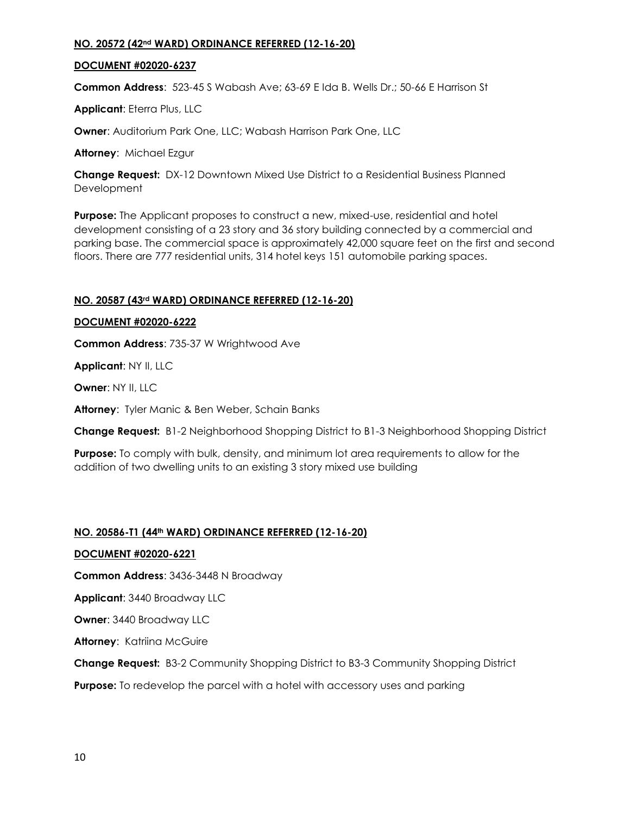## **NO. 20572 (42nd WARD) ORDINANCE REFERRED (12-16-20)**

## **DOCUMENT #02020-6237**

**Common Address**: 523-45 S Wabash Ave; 63-69 E Ida B. Wells Dr.; 50-66 E Harrison St

**Applicant**: Eterra Plus, LLC

**Owner**: Auditorium Park One, LLC; Wabash Harrison Park One, LLC

**Attorney**: Michael Ezgur

**Change Request:** DX-12 Downtown Mixed Use District to a Residential Business Planned **Development** 

**Purpose:** The Applicant proposes to construct a new, mixed-use, residential and hotel development consisting of a 23 story and 36 story building connected by a commercial and parking base. The commercial space is approximately 42,000 square feet on the first and second floors. There are 777 residential units, 314 hotel keys 151 automobile parking spaces.

# **NO. 20587 (43rd WARD) ORDINANCE REFERRED (12-16-20)**

## **DOCUMENT #02020-6222**

**Common Address**: 735-37 W Wrightwood Ave

**Applicant**: NY II, LLC

**Owner**: NY II, LLC

**Attorney**: Tyler Manic & Ben Weber, Schain Banks

**Change Request:** B1-2 Neighborhood Shopping District to B1-3 Neighborhood Shopping District

**Purpose:** To comply with bulk, density, and minimum lot area requirements to allow for the addition of two dwelling units to an existing 3 story mixed use building

## **NO. 20586-T1 (44th WARD) ORDINANCE REFERRED (12-16-20)**

**DOCUMENT #02020-6221**

**Common Address**: 3436-3448 N Broadway

**Applicant**: 3440 Broadway LLC

**Owner**: 3440 Broadway LLC

**Attorney**: Katriina McGuire

**Change Request:** B3-2 Community Shopping District to B3-3 Community Shopping District

**Purpose:** To redevelop the parcel with a hotel with accessory uses and parking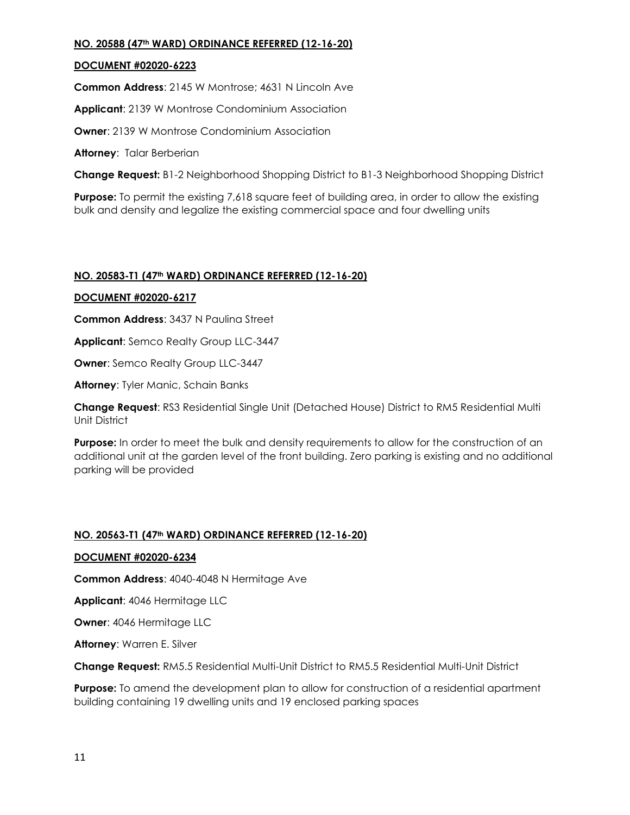# **NO. 20588 (47th WARD) ORDINANCE REFERRED (12-16-20)**

# **DOCUMENT #02020-6223**

**Common Address**: 2145 W Montrose; 4631 N Lincoln Ave

**Applicant**: 2139 W Montrose Condominium Association

**Owner:** 2139 W Montrose Condominium Association

**Attorney**: Talar Berberian

**Change Request:** B1-2 Neighborhood Shopping District to B1-3 Neighborhood Shopping District

**Purpose:** To permit the existing 7,618 square feet of building area, in order to allow the existing bulk and density and legalize the existing commercial space and four dwelling units

# **NO. 20583-T1 (47th WARD) ORDINANCE REFERRED (12-16-20)**

# **DOCUMENT #02020-6217**

**Common Address**: 3437 N Paulina Street

**Applicant**: Semco Realty Group LLC-3447

**Owner**: Semco Realty Group LLC-3447

**Attorney**: Tyler Manic, Schain Banks

**Change Request**: RS3 Residential Single Unit (Detached House) District to RM5 Residential Multi Unit District

**Purpose:** In order to meet the bulk and density requirements to allow for the construction of an additional unit at the garden level of the front building. Zero parking is existing and no additional parking will be provided

# **NO. 20563-T1 (47th WARD) ORDINANCE REFERRED (12-16-20)**

## **DOCUMENT #02020-6234**

**Common Address**: 4040-4048 N Hermitage Ave

**Applicant**: 4046 Hermitage LLC

**Owner**: 4046 Hermitage LLC

**Attorney**: Warren E. Silver

**Change Request:** RM5.5 Residential Multi-Unit District to RM5.5 Residential Multi-Unit District

**Purpose:** To amend the development plan to allow for construction of a residential apartment building containing 19 dwelling units and 19 enclosed parking spaces